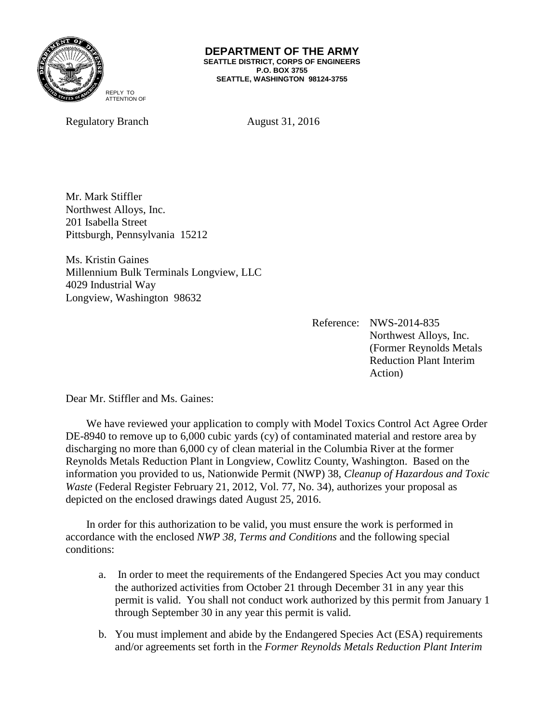

#### **DEPARTMENT OF THE ARMY SEATTLE DISTRICT, CORPS OF ENGINEERS P.O. BOX 3755 SEATTLE, WASHINGTON 98124-3755**

Regulatory Branch August 31, 2016

Mr. Mark Stiffler Northwest Alloys, Inc. 201 Isabella Street Pittsburgh, Pennsylvania 15212

Ms. Kristin Gaines Millennium Bulk Terminals Longview, LLC 4029 Industrial Way Longview, Washington 98632

> Reference: NWS-2014-835 Northwest Alloys, Inc. (Former Reynolds Metals Reduction Plant Interim Action)

Dear Mr. Stiffler and Ms. Gaines:

We have reviewed your application to comply with Model Toxics Control Act Agree Order DE-8940 to remove up to 6,000 cubic yards (cy) of contaminated material and restore area by discharging no more than 6,000 cy of clean material in the Columbia River at the former Reynolds Metals Reduction Plant in Longview, Cowlitz County, Washington. Based on the information you provided to us, Nationwide Permit (NWP) 38, *Cleanup of Hazardous and Toxic Waste* (Federal Register February 21, 2012, Vol. 77, No. 34), authorizes your proposal as depicted on the enclosed drawings dated August 25, 2016.

In order for this authorization to be valid, you must ensure the work is performed in accordance with the enclosed *NWP 38, Terms and Conditions* and the following special conditions:

- a. In order to meet the requirements of the Endangered Species Act you may conduct the authorized activities from October 21 through December 31 in any year this permit is valid. You shall not conduct work authorized by this permit from January 1 through September 30 in any year this permit is valid.
- b. You must implement and abide by the Endangered Species Act (ESA) requirements and/or agreements set forth in the *Former Reynolds Metals Reduction Plant Interim*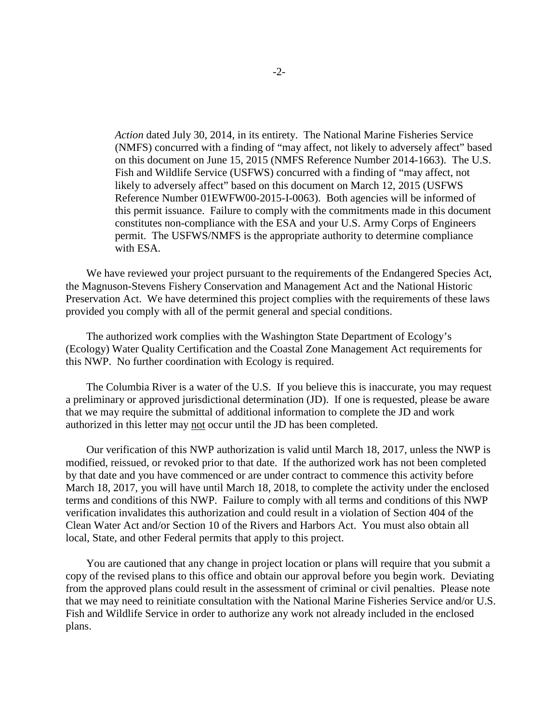*Action* dated July 30, 2014, in its entirety. The National Marine Fisheries Service (NMFS) concurred with a finding of "may affect, not likely to adversely affect" based on this document on June 15, 2015 (NMFS Reference Number 2014-1663). The U.S. Fish and Wildlife Service (USFWS) concurred with a finding of "may affect, not likely to adversely affect" based on this document on March 12, 2015 (USFWS Reference Number 01EWFW00-2015-I-0063). Both agencies will be informed of this permit issuance. Failure to comply with the commitments made in this document constitutes non-compliance with the ESA and your U.S. Army Corps of Engineers permit. The USFWS/NMFS is the appropriate authority to determine compliance with ESA.

We have reviewed your project pursuant to the requirements of the Endangered Species Act, the Magnuson-Stevens Fishery Conservation and Management Act and the National Historic Preservation Act. We have determined this project complies with the requirements of these laws provided you comply with all of the permit general and special conditions.

The authorized work complies with the Washington State Department of Ecology's (Ecology) Water Quality Certification and the Coastal Zone Management Act requirements for this NWP. No further coordination with Ecology is required.

The Columbia River is a water of the U.S. If you believe this is inaccurate, you may request a preliminary or approved jurisdictional determination (JD). If one is requested, please be aware that we may require the submittal of additional information to complete the JD and work authorized in this letter may not occur until the JD has been completed.

Our verification of this NWP authorization is valid until March 18, 2017, unless the NWP is modified, reissued, or revoked prior to that date. If the authorized work has not been completed by that date and you have commenced or are under contract to commence this activity before March 18, 2017, you will have until March 18, 2018, to complete the activity under the enclosed terms and conditions of this NWP. Failure to comply with all terms and conditions of this NWP verification invalidates this authorization and could result in a violation of Section 404 of the Clean Water Act and/or Section 10 of the Rivers and Harbors Act. You must also obtain all local, State, and other Federal permits that apply to this project.

You are cautioned that any change in project location or plans will require that you submit a copy of the revised plans to this office and obtain our approval before you begin work. Deviating from the approved plans could result in the assessment of criminal or civil penalties. Please note that we may need to reinitiate consultation with the National Marine Fisheries Service and/or U.S. Fish and Wildlife Service in order to authorize any work not already included in the enclosed plans.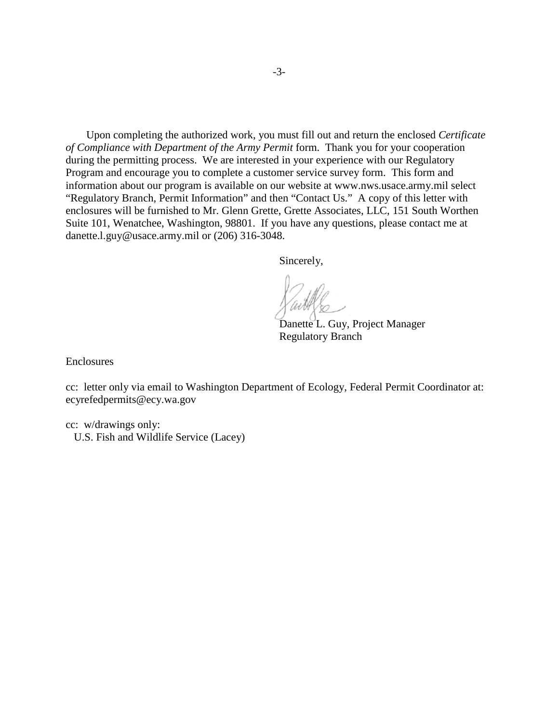Upon completing the authorized work, you must fill out and return the enclosed *Certificate of Compliance with Department of the Army Permit* form. Thank you for your cooperation during the permitting process. We are interested in your experience with our Regulatory Program and encourage you to complete a customer service survey form. This form and information about our program is available on our website at www.nws.usace.army.mil select "Regulatory Branch, Permit Information" and then "Contact Us." A copy of this letter with enclosures will be furnished to Mr. Glenn Grette, Grette Associates, LLC, 151 South Worthen Suite 101, Wenatchee, Washington, 98801. If you have any questions, please contact me at danette.l.guy@usace.army.mil or (206) 316-3048.

Sincerely,

Danette L. Guy, Project Manager Regulatory Branch

Enclosures

cc: letter only via email to Washington Department of Ecology, Federal Permit Coordinator at: ecyrefedpermits@ecy.wa.gov

cc: w/drawings only: U.S. Fish and Wildlife Service (Lacey)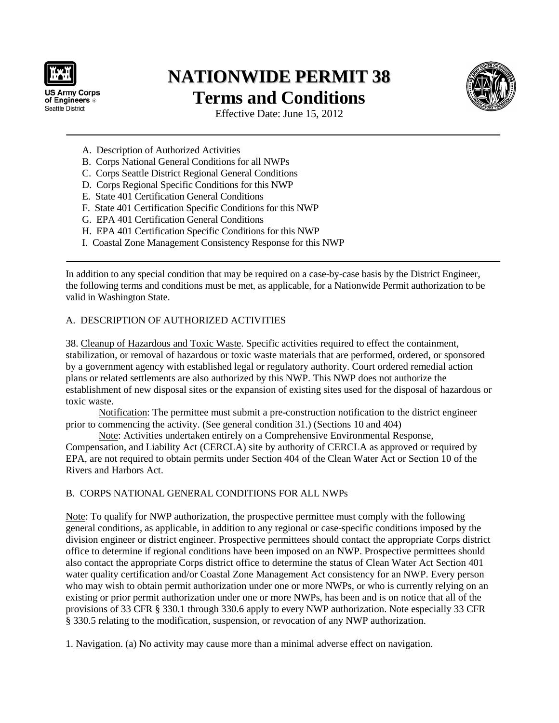

**US Army Corps** of Engineers<sup>®</sup> Seattle District

# **NATIONWIDE PERMIT 38 Terms and Conditions**



Effective Date: June 15, 2012

- A. Description of Authorized Activities
- B. Corps National General Conditions for all NWPs
- C. Corps Seattle District Regional General Conditions
- D. Corps Regional Specific Conditions for this NWP
- E. State 401 Certification General Conditions
- F. State 401 Certification Specific Conditions for this NWP
- G. EPA 401 Certification General Conditions
- H. EPA 401 Certification Specific Conditions for this NWP
- I. Coastal Zone Management Consistency Response for this NWP

In addition to any special condition that may be required on a case-by-case basis by the District Engineer, the following terms and conditions must be met, as applicable, for a Nationwide Permit authorization to be valid in Washington State.

# A. DESCRIPTION OF AUTHORIZED ACTIVITIES

38. Cleanup of Hazardous and Toxic Waste. Specific activities required to effect the containment, stabilization, or removal of hazardous or toxic waste materials that are performed, ordered, or sponsored by a government agency with established legal or regulatory authority. Court ordered remedial action plans or related settlements are also authorized by this NWP. This NWP does not authorize the establishment of new disposal sites or the expansion of existing sites used for the disposal of hazardous or toxic waste.

Notification: The permittee must submit a pre-construction notification to the district engineer prior to commencing the activity. (See general condition 31.) (Sections 10 and 404)

Note: Activities undertaken entirely on a Comprehensive Environmental Response, Compensation, and Liability Act (CERCLA) site by authority of CERCLA as approved or required by EPA, are not required to obtain permits under Section 404 of the Clean Water Act or Section 10 of the Rivers and Harbors Act.

# B. CORPS NATIONAL GENERAL CONDITIONS FOR ALL NWPs

Note: To qualify for NWP authorization, the prospective permittee must comply with the following general conditions, as applicable, in addition to any regional or case-specific conditions imposed by the division engineer or district engineer. Prospective permittees should contact the appropriate Corps district office to determine if regional conditions have been imposed on an NWP. Prospective permittees should also contact the appropriate Corps district office to determine the status of Clean Water Act Section 401 water quality certification and/or Coastal Zone Management Act consistency for an NWP. Every person who may wish to obtain permit authorization under one or more NWPs, or who is currently relying on an existing or prior permit authorization under one or more NWPs, has been and is on notice that all of the provisions of 33 CFR § 330.1 through 330.6 apply to every NWP authorization. Note especially 33 CFR § 330.5 relating to the modification, suspension, or revocation of any NWP authorization.

1. Navigation. (a) No activity may cause more than a minimal adverse effect on navigation.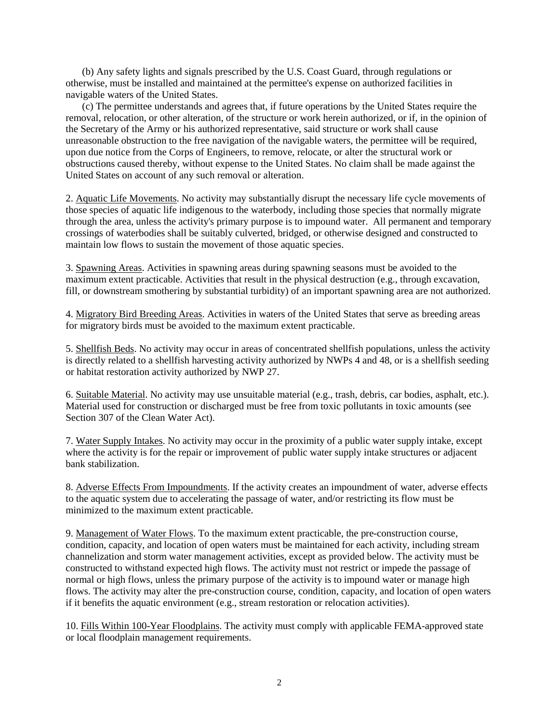(b) Any safety lights and signals prescribed by the U.S. Coast Guard, through regulations or otherwise, must be installed and maintained at the permittee's expense on authorized facilities in navigable waters of the United States.

(c) The permittee understands and agrees that, if future operations by the United States require the removal, relocation, or other alteration, of the structure or work herein authorized, or if, in the opinion of the Secretary of the Army or his authorized representative, said structure or work shall cause unreasonable obstruction to the free navigation of the navigable waters, the permittee will be required, upon due notice from the Corps of Engineers, to remove, relocate, or alter the structural work or obstructions caused thereby, without expense to the United States. No claim shall be made against the United States on account of any such removal or alteration.

2. Aquatic Life Movements. No activity may substantially disrupt the necessary life cycle movements of those species of aquatic life indigenous to the waterbody, including those species that normally migrate through the area, unless the activity's primary purpose is to impound water. All permanent and temporary crossings of waterbodies shall be suitably culverted, bridged, or otherwise designed and constructed to maintain low flows to sustain the movement of those aquatic species.

3. Spawning Areas. Activities in spawning areas during spawning seasons must be avoided to the maximum extent practicable. Activities that result in the physical destruction (e.g., through excavation, fill, or downstream smothering by substantial turbidity) of an important spawning area are not authorized.

4. Migratory Bird Breeding Areas. Activities in waters of the United States that serve as breeding areas for migratory birds must be avoided to the maximum extent practicable.

5. Shellfish Beds. No activity may occur in areas of concentrated shellfish populations, unless the activity is directly related to a shellfish harvesting activity authorized by NWPs 4 and 48, or is a shellfish seeding or habitat restoration activity authorized by NWP 27.

6. Suitable Material. No activity may use unsuitable material (e.g., trash, debris, car bodies, asphalt, etc.). Material used for construction or discharged must be free from toxic pollutants in toxic amounts (see Section 307 of the Clean Water Act).

7. Water Supply Intakes. No activity may occur in the proximity of a public water supply intake, except where the activity is for the repair or improvement of public water supply intake structures or adjacent bank stabilization.

8. Adverse Effects From Impoundments. If the activity creates an impoundment of water, adverse effects to the aquatic system due to accelerating the passage of water, and/or restricting its flow must be minimized to the maximum extent practicable.

9. Management of Water Flows. To the maximum extent practicable, the pre-construction course, condition, capacity, and location of open waters must be maintained for each activity, including stream channelization and storm water management activities, except as provided below. The activity must be constructed to withstand expected high flows. The activity must not restrict or impede the passage of normal or high flows, unless the primary purpose of the activity is to impound water or manage high flows. The activity may alter the pre-construction course, condition, capacity, and location of open waters if it benefits the aquatic environment (e.g., stream restoration or relocation activities).

10. Fills Within 100-Year Floodplains. The activity must comply with applicable FEMA-approved state or local floodplain management requirements.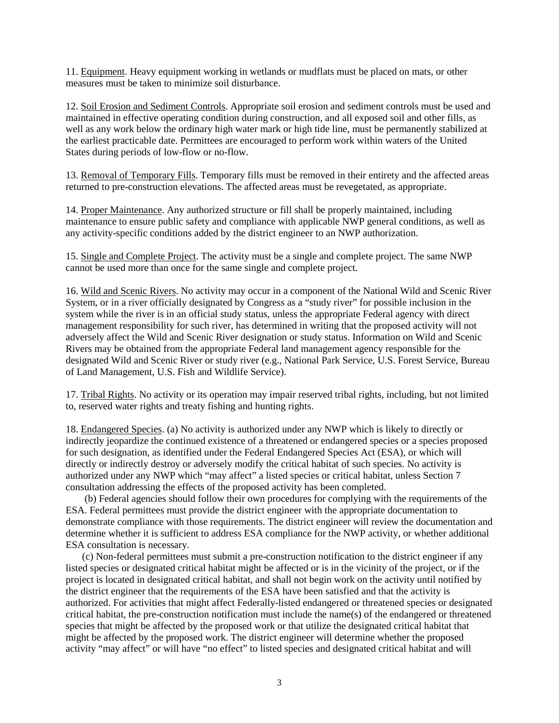11. Equipment. Heavy equipment working in wetlands or mudflats must be placed on mats, or other measures must be taken to minimize soil disturbance.

12. Soil Erosion and Sediment Controls. Appropriate soil erosion and sediment controls must be used and maintained in effective operating condition during construction, and all exposed soil and other fills, as well as any work below the ordinary high water mark or high tide line, must be permanently stabilized at the earliest practicable date. Permittees are encouraged to perform work within waters of the United States during periods of low-flow or no-flow.

13. Removal of Temporary Fills. Temporary fills must be removed in their entirety and the affected areas returned to pre-construction elevations. The affected areas must be revegetated, as appropriate.

14. Proper Maintenance. Any authorized structure or fill shall be properly maintained, including maintenance to ensure public safety and compliance with applicable NWP general conditions, as well as any activity-specific conditions added by the district engineer to an NWP authorization.

15. Single and Complete Project. The activity must be a single and complete project. The same NWP cannot be used more than once for the same single and complete project.

16. Wild and Scenic Rivers. No activity may occur in a component of the National Wild and Scenic River System, or in a river officially designated by Congress as a "study river" for possible inclusion in the system while the river is in an official study status, unless the appropriate Federal agency with direct management responsibility for such river, has determined in writing that the proposed activity will not adversely affect the Wild and Scenic River designation or study status. Information on Wild and Scenic Rivers may be obtained from the appropriate Federal land management agency responsible for the designated Wild and Scenic River or study river (e.g., National Park Service, U.S. Forest Service, Bureau of Land Management, U.S. Fish and Wildlife Service).

17. Tribal Rights. No activity or its operation may impair reserved tribal rights, including, but not limited to, reserved water rights and treaty fishing and hunting rights.

18. Endangered Species. (a) No activity is authorized under any NWP which is likely to directly or indirectly jeopardize the continued existence of a threatened or endangered species or a species proposed for such designation, as identified under the Federal Endangered Species Act (ESA), or which will directly or indirectly destroy or adversely modify the critical habitat of such species. No activity is authorized under any NWP which "may affect" a listed species or critical habitat, unless Section 7 consultation addressing the effects of the proposed activity has been completed.

(b) Federal agencies should follow their own procedures for complying with the requirements of the ESA. Federal permittees must provide the district engineer with the appropriate documentation to demonstrate compliance with those requirements. The district engineer will review the documentation and determine whether it is sufficient to address ESA compliance for the NWP activity, or whether additional ESA consultation is necessary.

(c) Non-federal permittees must submit a pre-construction notification to the district engineer if any listed species or designated critical habitat might be affected or is in the vicinity of the project, or if the project is located in designated critical habitat, and shall not begin work on the activity until notified by the district engineer that the requirements of the ESA have been satisfied and that the activity is authorized. For activities that might affect Federally-listed endangered or threatened species or designated critical habitat, the pre-construction notification must include the name(s) of the endangered or threatened species that might be affected by the proposed work or that utilize the designated critical habitat that might be affected by the proposed work. The district engineer will determine whether the proposed activity "may affect" or will have "no effect" to listed species and designated critical habitat and will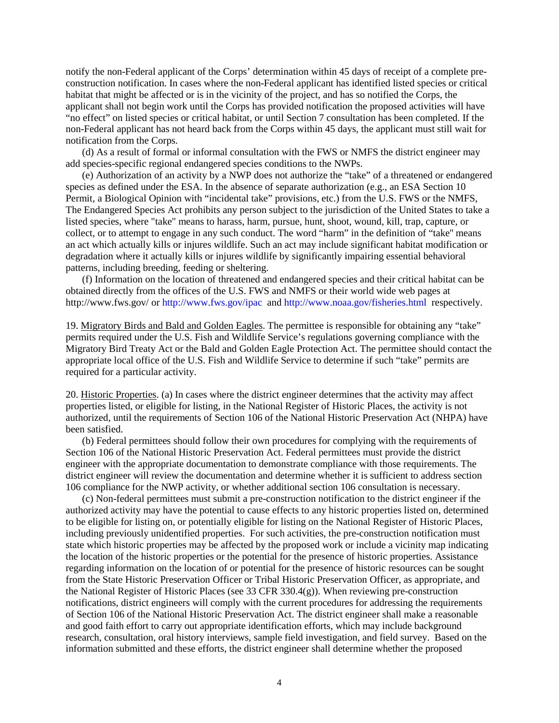notify the non-Federal applicant of the Corps' determination within 45 days of receipt of a complete preconstruction notification. In cases where the non-Federal applicant has identified listed species or critical habitat that might be affected or is in the vicinity of the project, and has so notified the Corps, the applicant shall not begin work until the Corps has provided notification the proposed activities will have "no effect" on listed species or critical habitat, or until Section 7 consultation has been completed. If the non-Federal applicant has not heard back from the Corps within 45 days, the applicant must still wait for notification from the Corps.

(d) As a result of formal or informal consultation with the FWS or NMFS the district engineer may add species-specific regional endangered species conditions to the NWPs.

(e) Authorization of an activity by a NWP does not authorize the "take" of a threatened or endangered species as defined under the ESA. In the absence of separate authorization (e.g., an ESA Section 10 Permit, a Biological Opinion with "incidental take" provisions, etc.) from the U.S. FWS or the NMFS, The Endangered Species Act prohibits any person subject to the jurisdiction of the United States to take a listed species, where "take" means to harass, harm, pursue, hunt, shoot, wound, kill, trap, capture, or collect, or to attempt to engage in any such conduct. The word "harm" in the definition of "take'' means an act which actually kills or injures wildlife. Such an act may include significant habitat modification or degradation where it actually kills or injures wildlife by significantly impairing essential behavioral patterns, including breeding, feeding or sheltering.

(f) Information on the location of threatened and endangered species and their critical habitat can be obtained directly from the offices of the U.S. FWS and NMFS or their world wide web pages at http://www.fws.gov/ o[r http://www.fws.gov/ipac](http://www.fws.gov/ipac) and<http://www.noaa.gov/fisheries.html>respectively.

19. Migratory Birds and Bald and Golden Eagles. The permittee is responsible for obtaining any "take" permits required under the U.S. Fish and Wildlife Service's regulations governing compliance with the Migratory Bird Treaty Act or the Bald and Golden Eagle Protection Act. The permittee should contact the appropriate local office of the U.S. Fish and Wildlife Service to determine if such "take" permits are required for a particular activity.

20. Historic Properties. (a) In cases where the district engineer determines that the activity may affect properties listed, or eligible for listing, in the National Register of Historic Places, the activity is not authorized, until the requirements of Section 106 of the National Historic Preservation Act (NHPA) have been satisfied.

(b) Federal permittees should follow their own procedures for complying with the requirements of Section 106 of the National Historic Preservation Act. Federal permittees must provide the district engineer with the appropriate documentation to demonstrate compliance with those requirements. The district engineer will review the documentation and determine whether it is sufficient to address section 106 compliance for the NWP activity, or whether additional section 106 consultation is necessary.

(c) Non-federal permittees must submit a pre-construction notification to the district engineer if the authorized activity may have the potential to cause effects to any historic properties listed on, determined to be eligible for listing on, or potentially eligible for listing on the National Register of Historic Places, including previously unidentified properties. For such activities, the pre-construction notification must state which historic properties may be affected by the proposed work or include a vicinity map indicating the location of the historic properties or the potential for the presence of historic properties. Assistance regarding information on the location of or potential for the presence of historic resources can be sought from the State Historic Preservation Officer or Tribal Historic Preservation Officer, as appropriate, and the National Register of Historic Places (see 33 CFR 330.4(g)). When reviewing pre-construction notifications, district engineers will comply with the current procedures for addressing the requirements of Section 106 of the National Historic Preservation Act. The district engineer shall make a reasonable and good faith effort to carry out appropriate identification efforts, which may include background research, consultation, oral history interviews, sample field investigation, and field survey. Based on the information submitted and these efforts, the district engineer shall determine whether the proposed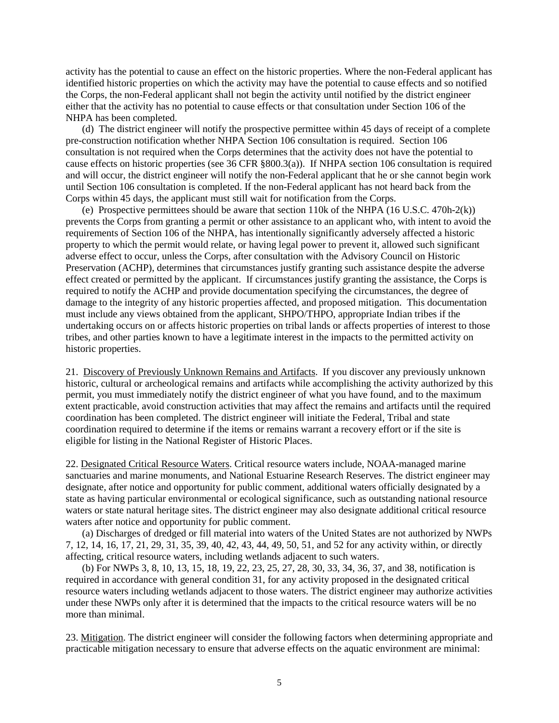activity has the potential to cause an effect on the historic properties. Where the non-Federal applicant has identified historic properties on which the activity may have the potential to cause effects and so notified the Corps, the non-Federal applicant shall not begin the activity until notified by the district engineer either that the activity has no potential to cause effects or that consultation under Section 106 of the NHPA has been completed.

(d) The district engineer will notify the prospective permittee within 45 days of receipt of a complete pre-construction notification whether NHPA Section 106 consultation is required. Section 106 consultation is not required when the Corps determines that the activity does not have the potential to cause effects on historic properties (see 36 CFR §800.3(a)). If NHPA section 106 consultation is required and will occur, the district engineer will notify the non-Federal applicant that he or she cannot begin work until Section 106 consultation is completed. If the non-Federal applicant has not heard back from the Corps within 45 days, the applicant must still wait for notification from the Corps.

(e) Prospective permittees should be aware that section 110k of the NHPA (16 U.S.C. 470h-2(k)) prevents the Corps from granting a permit or other assistance to an applicant who, with intent to avoid the requirements of Section 106 of the NHPA, has intentionally significantly adversely affected a historic property to which the permit would relate, or having legal power to prevent it, allowed such significant adverse effect to occur, unless the Corps, after consultation with the Advisory Council on Historic Preservation (ACHP), determines that circumstances justify granting such assistance despite the adverse effect created or permitted by the applicant. If circumstances justify granting the assistance, the Corps is required to notify the ACHP and provide documentation specifying the circumstances, the degree of damage to the integrity of any historic properties affected, and proposed mitigation. This documentation must include any views obtained from the applicant, SHPO/THPO, appropriate Indian tribes if the undertaking occurs on or affects historic properties on tribal lands or affects properties of interest to those tribes, and other parties known to have a legitimate interest in the impacts to the permitted activity on historic properties.

21. Discovery of Previously Unknown Remains and Artifacts. If you discover any previously unknown historic, cultural or archeological remains and artifacts while accomplishing the activity authorized by this permit, you must immediately notify the district engineer of what you have found, and to the maximum extent practicable, avoid construction activities that may affect the remains and artifacts until the required coordination has been completed. The district engineer will initiate the Federal, Tribal and state coordination required to determine if the items or remains warrant a recovery effort or if the site is eligible for listing in the National Register of Historic Places.

22. Designated Critical Resource Waters. Critical resource waters include, NOAA-managed marine sanctuaries and marine monuments, and National Estuarine Research Reserves. The district engineer may designate, after notice and opportunity for public comment, additional waters officially designated by a state as having particular environmental or ecological significance, such as outstanding national resource waters or state natural heritage sites. The district engineer may also designate additional critical resource waters after notice and opportunity for public comment.

(a) Discharges of dredged or fill material into waters of the United States are not authorized by NWPs 7, 12, 14, 16, 17, 21, 29, 31, 35, 39, 40, 42, 43, 44, 49, 50, 51, and 52 for any activity within, or directly affecting, critical resource waters, including wetlands adjacent to such waters.

(b) For NWPs 3, 8, 10, 13, 15, 18, 19, 22, 23, 25, 27, 28, 30, 33, 34, 36, 37, and 38, notification is required in accordance with general condition 31, for any activity proposed in the designated critical resource waters including wetlands adjacent to those waters. The district engineer may authorize activities under these NWPs only after it is determined that the impacts to the critical resource waters will be no more than minimal.

23. Mitigation. The district engineer will consider the following factors when determining appropriate and practicable mitigation necessary to ensure that adverse effects on the aquatic environment are minimal: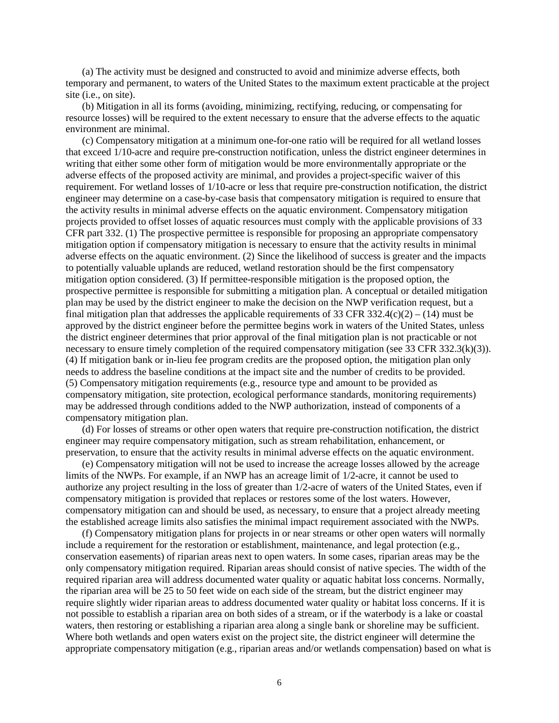(a) The activity must be designed and constructed to avoid and minimize adverse effects, both temporary and permanent, to waters of the United States to the maximum extent practicable at the project site (i.e., on site).

(b) Mitigation in all its forms (avoiding, minimizing, rectifying, reducing, or compensating for resource losses) will be required to the extent necessary to ensure that the adverse effects to the aquatic environment are minimal.

(c) Compensatory mitigation at a minimum one-for-one ratio will be required for all wetland losses that exceed 1/10-acre and require pre-construction notification, unless the district engineer determines in writing that either some other form of mitigation would be more environmentally appropriate or the adverse effects of the proposed activity are minimal, and provides a project-specific waiver of this requirement. For wetland losses of 1/10-acre or less that require pre-construction notification, the district engineer may determine on a case-by-case basis that compensatory mitigation is required to ensure that the activity results in minimal adverse effects on the aquatic environment. Compensatory mitigation projects provided to offset losses of aquatic resources must comply with the applicable provisions of 33 CFR part 332. (1) The prospective permittee is responsible for proposing an appropriate compensatory mitigation option if compensatory mitigation is necessary to ensure that the activity results in minimal adverse effects on the aquatic environment. (2) Since the likelihood of success is greater and the impacts to potentially valuable uplands are reduced, wetland restoration should be the first compensatory mitigation option considered. (3) If permittee-responsible mitigation is the proposed option, the prospective permittee is responsible for submitting a mitigation plan. A conceptual or detailed mitigation plan may be used by the district engineer to make the decision on the NWP verification request, but a final mitigation plan that addresses the applicable requirements of 33 CFR 332.4(c)(2) – (14) must be approved by the district engineer before the permittee begins work in waters of the United States, unless the district engineer determines that prior approval of the final mitigation plan is not practicable or not necessary to ensure timely completion of the required compensatory mitigation (see 33 CFR 332.3(k)(3)). (4) If mitigation bank or in-lieu fee program credits are the proposed option, the mitigation plan only needs to address the baseline conditions at the impact site and the number of credits to be provided. (5) Compensatory mitigation requirements (e.g., resource type and amount to be provided as compensatory mitigation, site protection, ecological performance standards, monitoring requirements) may be addressed through conditions added to the NWP authorization, instead of components of a compensatory mitigation plan.

(d) For losses of streams or other open waters that require pre-construction notification, the district engineer may require compensatory mitigation, such as stream rehabilitation, enhancement, or preservation, to ensure that the activity results in minimal adverse effects on the aquatic environment.

(e) Compensatory mitigation will not be used to increase the acreage losses allowed by the acreage limits of the NWPs. For example, if an NWP has an acreage limit of 1/2-acre, it cannot be used to authorize any project resulting in the loss of greater than 1/2-acre of waters of the United States, even if compensatory mitigation is provided that replaces or restores some of the lost waters. However, compensatory mitigation can and should be used, as necessary, to ensure that a project already meeting the established acreage limits also satisfies the minimal impact requirement associated with the NWPs.

(f) Compensatory mitigation plans for projects in or near streams or other open waters will normally include a requirement for the restoration or establishment, maintenance, and legal protection (e.g., conservation easements) of riparian areas next to open waters. In some cases, riparian areas may be the only compensatory mitigation required. Riparian areas should consist of native species. The width of the required riparian area will address documented water quality or aquatic habitat loss concerns. Normally, the riparian area will be 25 to 50 feet wide on each side of the stream, but the district engineer may require slightly wider riparian areas to address documented water quality or habitat loss concerns. If it is not possible to establish a riparian area on both sides of a stream, or if the waterbody is a lake or coastal waters, then restoring or establishing a riparian area along a single bank or shoreline may be sufficient. Where both wetlands and open waters exist on the project site, the district engineer will determine the appropriate compensatory mitigation (e.g., riparian areas and/or wetlands compensation) based on what is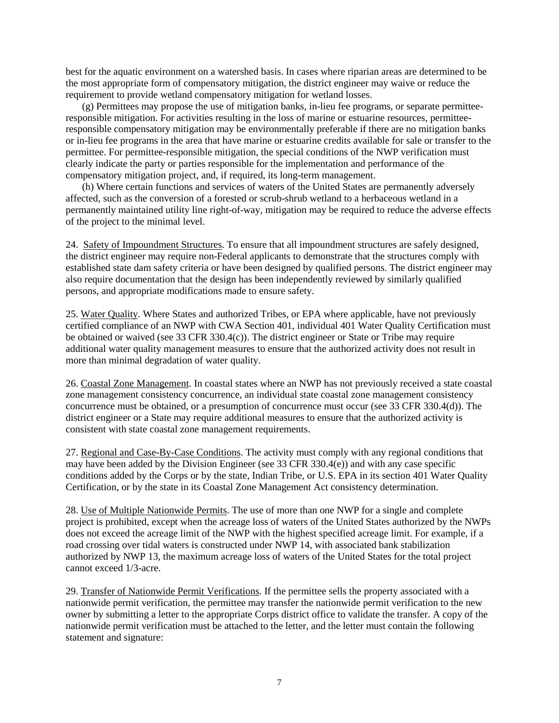best for the aquatic environment on a watershed basis. In cases where riparian areas are determined to be the most appropriate form of compensatory mitigation, the district engineer may waive or reduce the requirement to provide wetland compensatory mitigation for wetland losses.

(g) Permittees may propose the use of mitigation banks, in-lieu fee programs, or separate permitteeresponsible mitigation. For activities resulting in the loss of marine or estuarine resources, permitteeresponsible compensatory mitigation may be environmentally preferable if there are no mitigation banks or in-lieu fee programs in the area that have marine or estuarine credits available for sale or transfer to the permittee. For permittee-responsible mitigation, the special conditions of the NWP verification must clearly indicate the party or parties responsible for the implementation and performance of the compensatory mitigation project, and, if required, its long-term management.

(h) Where certain functions and services of waters of the United States are permanently adversely affected, such as the conversion of a forested or scrub-shrub wetland to a herbaceous wetland in a permanently maintained utility line right-of-way, mitigation may be required to reduce the adverse effects of the project to the minimal level.

24. Safety of Impoundment Structures. To ensure that all impoundment structures are safely designed, the district engineer may require non-Federal applicants to demonstrate that the structures comply with established state dam safety criteria or have been designed by qualified persons. The district engineer may also require documentation that the design has been independently reviewed by similarly qualified persons, and appropriate modifications made to ensure safety.

25. Water Quality. Where States and authorized Tribes, or EPA where applicable, have not previously certified compliance of an NWP with CWA Section 401, individual 401 Water Quality Certification must be obtained or waived (see 33 CFR 330.4(c)). The district engineer or State or Tribe may require additional water quality management measures to ensure that the authorized activity does not result in more than minimal degradation of water quality.

26. Coastal Zone Management. In coastal states where an NWP has not previously received a state coastal zone management consistency concurrence, an individual state coastal zone management consistency concurrence must be obtained, or a presumption of concurrence must occur (see 33 CFR 330.4(d)). The district engineer or a State may require additional measures to ensure that the authorized activity is consistent with state coastal zone management requirements.

27. Regional and Case-By-Case Conditions. The activity must comply with any regional conditions that may have been added by the Division Engineer (see 33 CFR 330.4(e)) and with any case specific conditions added by the Corps or by the state, Indian Tribe, or U.S. EPA in its section 401 Water Quality Certification, or by the state in its Coastal Zone Management Act consistency determination.

28. Use of Multiple Nationwide Permits. The use of more than one NWP for a single and complete project is prohibited, except when the acreage loss of waters of the United States authorized by the NWPs does not exceed the acreage limit of the NWP with the highest specified acreage limit. For example, if a road crossing over tidal waters is constructed under NWP 14, with associated bank stabilization authorized by NWP 13, the maximum acreage loss of waters of the United States for the total project cannot exceed 1/3-acre.

29. Transfer of Nationwide Permit Verifications. If the permittee sells the property associated with a nationwide permit verification, the permittee may transfer the nationwide permit verification to the new owner by submitting a letter to the appropriate Corps district office to validate the transfer. A copy of the nationwide permit verification must be attached to the letter, and the letter must contain the following statement and signature: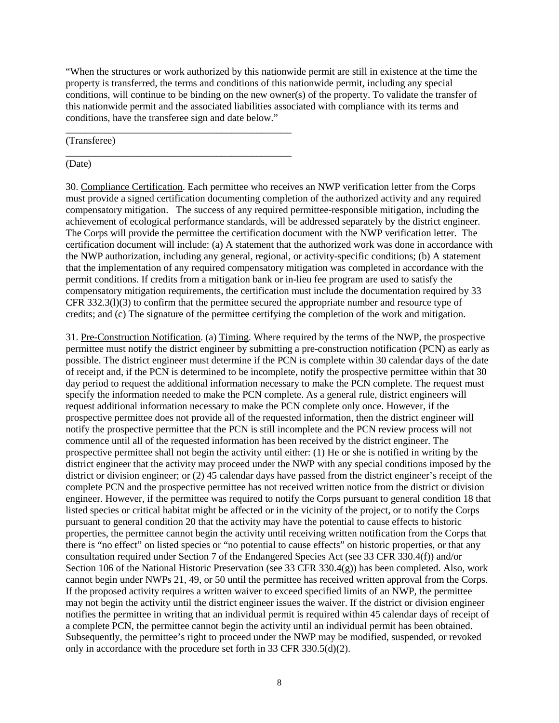"When the structures or work authorized by this nationwide permit are still in existence at the time the property is transferred, the terms and conditions of this nationwide permit, including any special conditions, will continue to be binding on the new owner(s) of the property. To validate the transfer of this nationwide permit and the associated liabilities associated with compliance with its terms and conditions, have the transferee sign and date below."

(Transferee)

\_\_\_\_\_\_\_\_\_\_\_\_\_\_\_\_\_\_\_\_\_\_\_\_\_\_\_\_\_\_\_\_\_\_\_\_\_\_\_\_\_\_\_\_\_

\_\_\_\_\_\_\_\_\_\_\_\_\_\_\_\_\_\_\_\_\_\_\_\_\_\_\_\_\_\_\_\_\_\_\_\_\_\_\_\_\_\_\_\_\_ (Date)

30. Compliance Certification. Each permittee who receives an NWP verification letter from the Corps must provide a signed certification documenting completion of the authorized activity and any required compensatory mitigation. The success of any required permittee-responsible mitigation, including the achievement of ecological performance standards, will be addressed separately by the district engineer. The Corps will provide the permittee the certification document with the NWP verification letter. The certification document will include: (a) A statement that the authorized work was done in accordance with the NWP authorization, including any general, regional, or activity-specific conditions; (b) A statement that the implementation of any required compensatory mitigation was completed in accordance with the permit conditions. If credits from a mitigation bank or in-lieu fee program are used to satisfy the compensatory mitigation requirements, the certification must include the documentation required by 33 CFR 332.3(l)(3) to confirm that the permittee secured the appropriate number and resource type of credits; and (c) The signature of the permittee certifying the completion of the work and mitigation.

31. Pre-Construction Notification. (a) Timing. Where required by the terms of the NWP, the prospective permittee must notify the district engineer by submitting a pre-construction notification (PCN) as early as possible. The district engineer must determine if the PCN is complete within 30 calendar days of the date of receipt and, if the PCN is determined to be incomplete, notify the prospective permittee within that 30 day period to request the additional information necessary to make the PCN complete. The request must specify the information needed to make the PCN complete. As a general rule, district engineers will request additional information necessary to make the PCN complete only once. However, if the prospective permittee does not provide all of the requested information, then the district engineer will notify the prospective permittee that the PCN is still incomplete and the PCN review process will not commence until all of the requested information has been received by the district engineer. The prospective permittee shall not begin the activity until either: (1) He or she is notified in writing by the district engineer that the activity may proceed under the NWP with any special conditions imposed by the district or division engineer; or (2) 45 calendar days have passed from the district engineer's receipt of the complete PCN and the prospective permittee has not received written notice from the district or division engineer. However, if the permittee was required to notify the Corps pursuant to general condition 18 that listed species or critical habitat might be affected or in the vicinity of the project, or to notify the Corps pursuant to general condition 20 that the activity may have the potential to cause effects to historic properties, the permittee cannot begin the activity until receiving written notification from the Corps that there is "no effect" on listed species or "no potential to cause effects" on historic properties, or that any consultation required under Section 7 of the Endangered Species Act (see 33 CFR 330.4(f)) and/or Section 106 of the National Historic Preservation (see 33 CFR 330.4(g)) has been completed. Also, work cannot begin under NWPs 21, 49, or 50 until the permittee has received written approval from the Corps. If the proposed activity requires a written waiver to exceed specified limits of an NWP, the permittee may not begin the activity until the district engineer issues the waiver. If the district or division engineer notifies the permittee in writing that an individual permit is required within 45 calendar days of receipt of a complete PCN, the permittee cannot begin the activity until an individual permit has been obtained. Subsequently, the permittee's right to proceed under the NWP may be modified, suspended, or revoked only in accordance with the procedure set forth in 33 CFR 330.5(d)(2).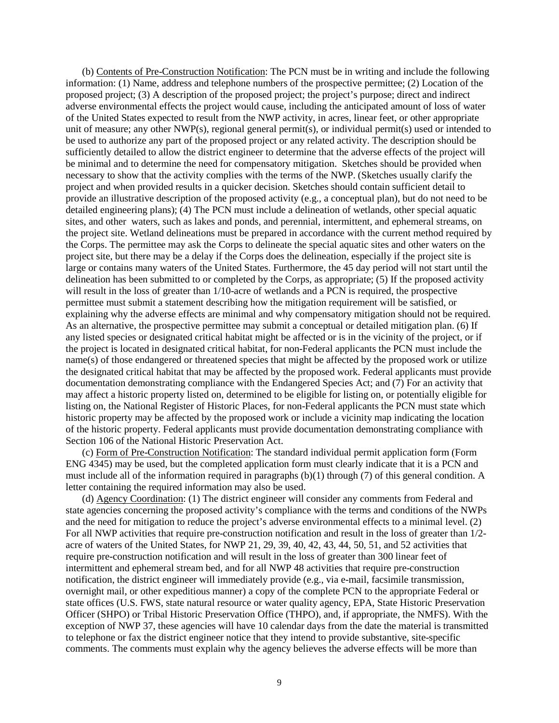(b) Contents of Pre-Construction Notification: The PCN must be in writing and include the following information: (1) Name, address and telephone numbers of the prospective permittee; (2) Location of the proposed project; (3) A description of the proposed project; the project's purpose; direct and indirect adverse environmental effects the project would cause, including the anticipated amount of loss of water of the United States expected to result from the NWP activity, in acres, linear feet, or other appropriate unit of measure; any other NWP(s), regional general permit(s), or individual permit(s) used or intended to be used to authorize any part of the proposed project or any related activity. The description should be sufficiently detailed to allow the district engineer to determine that the adverse effects of the project will be minimal and to determine the need for compensatory mitigation. Sketches should be provided when necessary to show that the activity complies with the terms of the NWP. (Sketches usually clarify the project and when provided results in a quicker decision. Sketches should contain sufficient detail to provide an illustrative description of the proposed activity (e.g., a conceptual plan), but do not need to be detailed engineering plans); (4) The PCN must include a delineation of wetlands, other special aquatic sites, and other waters, such as lakes and ponds, and perennial, intermittent, and ephemeral streams, on the project site. Wetland delineations must be prepared in accordance with the current method required by the Corps. The permittee may ask the Corps to delineate the special aquatic sites and other waters on the project site, but there may be a delay if the Corps does the delineation, especially if the project site is large or contains many waters of the United States. Furthermore, the 45 day period will not start until the delineation has been submitted to or completed by the Corps, as appropriate; (5) If the proposed activity will result in the loss of greater than 1/10-acre of wetlands and a PCN is required, the prospective permittee must submit a statement describing how the mitigation requirement will be satisfied, or explaining why the adverse effects are minimal and why compensatory mitigation should not be required. As an alternative, the prospective permittee may submit a conceptual or detailed mitigation plan. (6) If any listed species or designated critical habitat might be affected or is in the vicinity of the project, or if the project is located in designated critical habitat, for non-Federal applicants the PCN must include the name(s) of those endangered or threatened species that might be affected by the proposed work or utilize the designated critical habitat that may be affected by the proposed work. Federal applicants must provide documentation demonstrating compliance with the Endangered Species Act; and (7) For an activity that may affect a historic property listed on, determined to be eligible for listing on, or potentially eligible for listing on, the National Register of Historic Places, for non-Federal applicants the PCN must state which historic property may be affected by the proposed work or include a vicinity map indicating the location of the historic property. Federal applicants must provide documentation demonstrating compliance with Section 106 of the National Historic Preservation Act.

(c) Form of Pre-Construction Notification: The standard individual permit application form (Form ENG 4345) may be used, but the completed application form must clearly indicate that it is a PCN and must include all of the information required in paragraphs (b)(1) through (7) of this general condition. A letter containing the required information may also be used.

(d) Agency Coordination: (1) The district engineer will consider any comments from Federal and state agencies concerning the proposed activity's compliance with the terms and conditions of the NWPs and the need for mitigation to reduce the project's adverse environmental effects to a minimal level. (2) For all NWP activities that require pre-construction notification and result in the loss of greater than 1/2 acre of waters of the United States, for NWP 21, 29, 39, 40, 42, 43, 44, 50, 51, and 52 activities that require pre-construction notification and will result in the loss of greater than 300 linear feet of intermittent and ephemeral stream bed, and for all NWP 48 activities that require pre-construction notification, the district engineer will immediately provide (e.g., via e-mail, facsimile transmission, overnight mail, or other expeditious manner) a copy of the complete PCN to the appropriate Federal or state offices (U.S. FWS, state natural resource or water quality agency, EPA, State Historic Preservation Officer (SHPO) or Tribal Historic Preservation Office (THPO), and, if appropriate, the NMFS). With the exception of NWP 37, these agencies will have 10 calendar days from the date the material is transmitted to telephone or fax the district engineer notice that they intend to provide substantive, site-specific comments. The comments must explain why the agency believes the adverse effects will be more than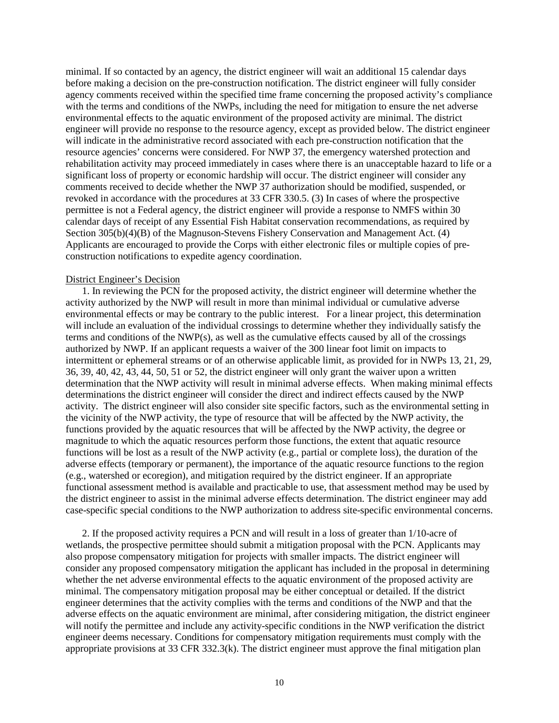minimal. If so contacted by an agency, the district engineer will wait an additional 15 calendar days before making a decision on the pre-construction notification. The district engineer will fully consider agency comments received within the specified time frame concerning the proposed activity's compliance with the terms and conditions of the NWPs, including the need for mitigation to ensure the net adverse environmental effects to the aquatic environment of the proposed activity are minimal. The district engineer will provide no response to the resource agency, except as provided below. The district engineer will indicate in the administrative record associated with each pre-construction notification that the resource agencies' concerns were considered. For NWP 37, the emergency watershed protection and rehabilitation activity may proceed immediately in cases where there is an unacceptable hazard to life or a significant loss of property or economic hardship will occur. The district engineer will consider any comments received to decide whether the NWP 37 authorization should be modified, suspended, or revoked in accordance with the procedures at 33 CFR 330.5. (3) In cases of where the prospective permittee is not a Federal agency, the district engineer will provide a response to NMFS within 30 calendar days of receipt of any Essential Fish Habitat conservation recommendations, as required by Section 305(b)(4)(B) of the Magnuson-Stevens Fishery Conservation and Management Act. (4) Applicants are encouraged to provide the Corps with either electronic files or multiple copies of preconstruction notifications to expedite agency coordination.

#### District Engineer's Decision

1. In reviewing the PCN for the proposed activity, the district engineer will determine whether the activity authorized by the NWP will result in more than minimal individual or cumulative adverse environmental effects or may be contrary to the public interest. For a linear project, this determination will include an evaluation of the individual crossings to determine whether they individually satisfy the terms and conditions of the NWP(s), as well as the cumulative effects caused by all of the crossings authorized by NWP. If an applicant requests a waiver of the 300 linear foot limit on impacts to intermittent or ephemeral streams or of an otherwise applicable limit, as provided for in NWPs 13, 21, 29, 36, 39, 40, 42, 43, 44, 50, 51 or 52, the district engineer will only grant the waiver upon a written determination that the NWP activity will result in minimal adverse effects. When making minimal effects determinations the district engineer will consider the direct and indirect effects caused by the NWP activity. The district engineer will also consider site specific factors, such as the environmental setting in the vicinity of the NWP activity, the type of resource that will be affected by the NWP activity, the functions provided by the aquatic resources that will be affected by the NWP activity, the degree or magnitude to which the aquatic resources perform those functions, the extent that aquatic resource functions will be lost as a result of the NWP activity (e.g., partial or complete loss), the duration of the adverse effects (temporary or permanent), the importance of the aquatic resource functions to the region (e.g., watershed or ecoregion), and mitigation required by the district engineer. If an appropriate functional assessment method is available and practicable to use, that assessment method may be used by the district engineer to assist in the minimal adverse effects determination. The district engineer may add case-specific special conditions to the NWP authorization to address site-specific environmental concerns.

2. If the proposed activity requires a PCN and will result in a loss of greater than 1/10-acre of wetlands, the prospective permittee should submit a mitigation proposal with the PCN. Applicants may also propose compensatory mitigation for projects with smaller impacts. The district engineer will consider any proposed compensatory mitigation the applicant has included in the proposal in determining whether the net adverse environmental effects to the aquatic environment of the proposed activity are minimal. The compensatory mitigation proposal may be either conceptual or detailed. If the district engineer determines that the activity complies with the terms and conditions of the NWP and that the adverse effects on the aquatic environment are minimal, after considering mitigation, the district engineer will notify the permittee and include any activity-specific conditions in the NWP verification the district engineer deems necessary. Conditions for compensatory mitigation requirements must comply with the appropriate provisions at 33 CFR 332.3(k). The district engineer must approve the final mitigation plan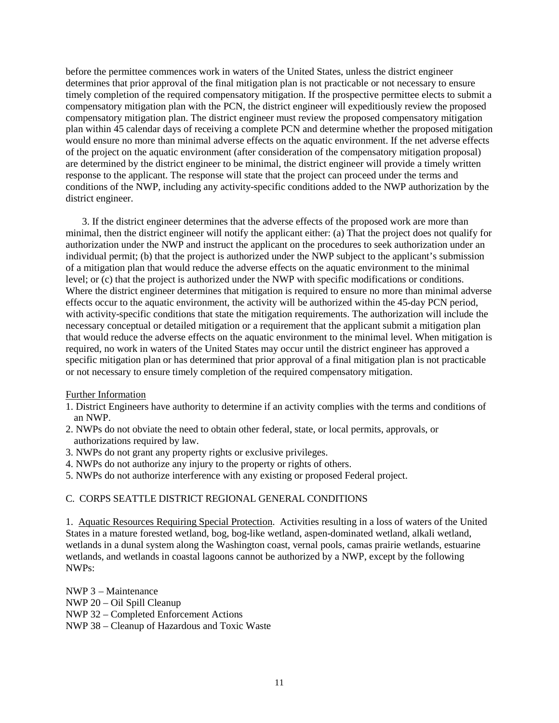before the permittee commences work in waters of the United States, unless the district engineer determines that prior approval of the final mitigation plan is not practicable or not necessary to ensure timely completion of the required compensatory mitigation. If the prospective permittee elects to submit a compensatory mitigation plan with the PCN, the district engineer will expeditiously review the proposed compensatory mitigation plan. The district engineer must review the proposed compensatory mitigation plan within 45 calendar days of receiving a complete PCN and determine whether the proposed mitigation would ensure no more than minimal adverse effects on the aquatic environment. If the net adverse effects of the project on the aquatic environment (after consideration of the compensatory mitigation proposal) are determined by the district engineer to be minimal, the district engineer will provide a timely written response to the applicant. The response will state that the project can proceed under the terms and conditions of the NWP, including any activity-specific conditions added to the NWP authorization by the district engineer.

3. If the district engineer determines that the adverse effects of the proposed work are more than minimal, then the district engineer will notify the applicant either: (a) That the project does not qualify for authorization under the NWP and instruct the applicant on the procedures to seek authorization under an individual permit; (b) that the project is authorized under the NWP subject to the applicant's submission of a mitigation plan that would reduce the adverse effects on the aquatic environment to the minimal level; or (c) that the project is authorized under the NWP with specific modifications or conditions. Where the district engineer determines that mitigation is required to ensure no more than minimal adverse effects occur to the aquatic environment, the activity will be authorized within the 45-day PCN period, with activity-specific conditions that state the mitigation requirements. The authorization will include the necessary conceptual or detailed mitigation or a requirement that the applicant submit a mitigation plan that would reduce the adverse effects on the aquatic environment to the minimal level. When mitigation is required, no work in waters of the United States may occur until the district engineer has approved a specific mitigation plan or has determined that prior approval of a final mitigation plan is not practicable or not necessary to ensure timely completion of the required compensatory mitigation.

## Further Information

- 1. District Engineers have authority to determine if an activity complies with the terms and conditions of an NWP.
- 2. NWPs do not obviate the need to obtain other federal, state, or local permits, approvals, or authorizations required by law.
- 3. NWPs do not grant any property rights or exclusive privileges.
- 4. NWPs do not authorize any injury to the property or rights of others.
- 5. NWPs do not authorize interference with any existing or proposed Federal project.

### C. CORPS SEATTLE DISTRICT REGIONAL GENERAL CONDITIONS

1. Aquatic Resources Requiring Special Protection. Activities resulting in a loss of waters of the United States in a mature forested wetland, bog, bog-like wetland, aspen-dominated wetland, alkali wetland, wetlands in a dunal system along the Washington coast, vernal pools, camas prairie wetlands, estuarine wetlands, and wetlands in coastal lagoons cannot be authorized by a NWP, except by the following NWPs:

NWP 3 – Maintenance NWP 20 – Oil Spill Cleanup NWP 32 – Completed Enforcement Actions NWP 38 – Cleanup of Hazardous and Toxic Waste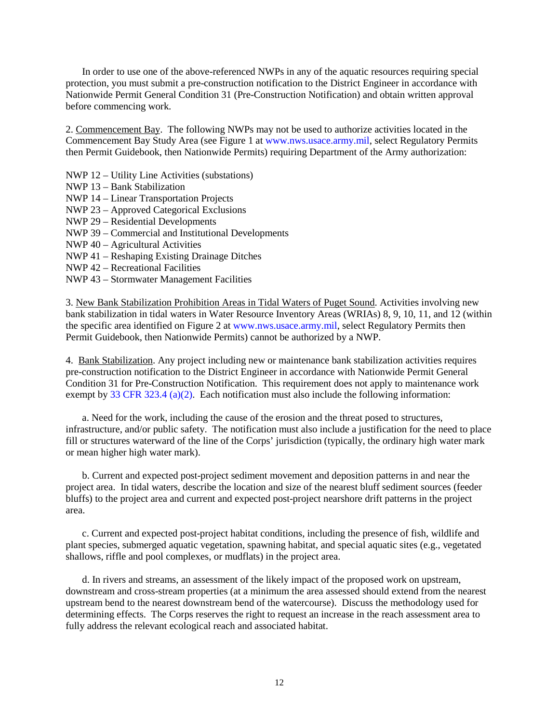In order to use one of the above-referenced NWPs in any of the aquatic resources requiring special protection, you must submit a pre-construction notification to the District Engineer in accordance with Nationwide Permit General Condition 31 (Pre-Construction Notification) and obtain written approval before commencing work.

2. Commencement Bay. The following NWPs may not be used to authorize activities located in the Commencement Bay Study Area (see Figure 1 a[t www.nws.usace.army.mil,](http://www.nws.usace.army.mil/) select Regulatory Permits then Permit Guidebook, then Nationwide Permits) requiring Department of the Army authorization:

- NWP 12 Utility Line Activities (substations)
- NWP 13 Bank Stabilization
- NWP 14 Linear Transportation Projects
- NWP 23 Approved Categorical Exclusions
- NWP 29 Residential Developments
- NWP 39 Commercial and Institutional Developments
- NWP 40 Agricultural Activities
- NWP 41 Reshaping Existing Drainage Ditches
- NWP 42 Recreational Facilities
- NWP 43 Stormwater Management Facilities

3. New Bank Stabilization Prohibition Areas in Tidal Waters of Puget Sound. Activities involving new bank stabilization in tidal waters in Water Resource Inventory Areas (WRIAs) 8, 9, 10, 11, and 12 (within the specific area identified on Figure 2 at [www.nws.usace.army.mil,](http://www.nws.usace.army.mil/) select Regulatory Permits then Permit Guidebook, then Nationwide Permits) cannot be authorized by a NWP.

4. Bank Stabilization. Any project including new or maintenance bank stabilization activities requires pre-construction notification to the District Engineer in accordance with Nationwide Permit General Condition 31 for Pre-Construction Notification. This requirement does not apply to maintenance work exempt by [33 CFR 323.4 \(a\)\(2\).](http://www.nws.usace.army.mil/PublicMenu/Menu.cfm?sitename=REG&pagename=exemptions) Each notification must also include the following information:

a. Need for the work, including the cause of the erosion and the threat posed to structures, infrastructure, and/or public safety. The notification must also include a justification for the need to place fill or structures waterward of the line of the Corps' jurisdiction (typically, the ordinary high water mark or mean higher high water mark).

b. Current and expected post-project sediment movement and deposition patterns in and near the project area. In tidal waters, describe the location and size of the nearest bluff sediment sources (feeder bluffs) to the project area and current and expected post-project nearshore drift patterns in the project area.

c. Current and expected post-project habitat conditions, including the presence of fish, wildlife and plant species, submerged aquatic vegetation, spawning habitat, and special aquatic sites (e.g., vegetated shallows, riffle and pool complexes, or mudflats) in the project area.

d. In rivers and streams, an assessment of the likely impact of the proposed work on upstream, downstream and cross-stream properties (at a minimum the area assessed should extend from the nearest upstream bend to the nearest downstream bend of the watercourse). Discuss the methodology used for determining effects. The Corps reserves the right to request an increase in the reach assessment area to fully address the relevant ecological reach and associated habitat.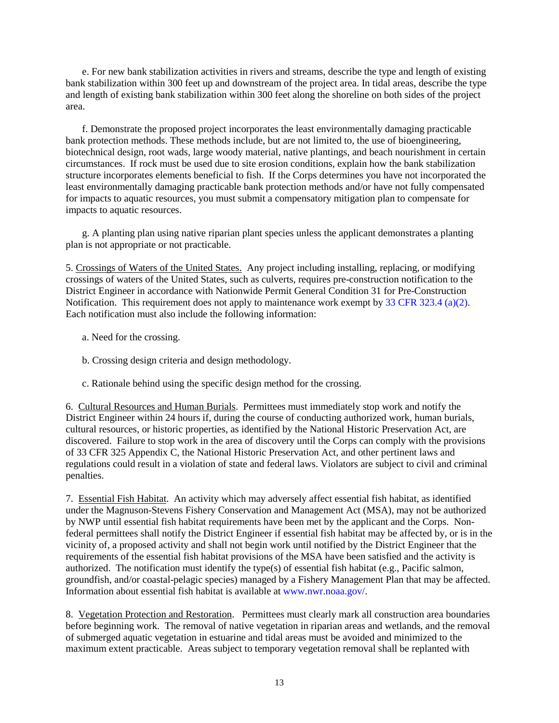e. For new bank stabilization activities in rivers and streams, describe the type and length of existing bank stabilization within 300 feet up and downstream of the project area. In tidal areas, describe the type and length of existing bank stabilization within 300 feet along the shoreline on both sides of the project area.

f. Demonstrate the proposed project incorporates the least environmentally damaging practicable bank protection methods. These methods include, but are not limited to, the use of bioengineering, biotechnical design, root wads, large woody material, native plantings, and beach nourishment in certain circumstances. If rock must be used due to site erosion conditions, explain how the bank stabilization structure incorporates elements beneficial to fish. If the Corps determines you have not incorporated the least environmentally damaging practicable bank protection methods and/or have not fully compensated for impacts to aquatic resources, you must submit a compensatory mitigation plan to compensate for impacts to aquatic resources.

g. A planting plan using native riparian plant species unless the applicant demonstrates a planting plan is not appropriate or not practicable.

5. Crossings of Waters of the United States. Any project including installing, replacing, or modifying crossings of waters of the United States, such as culverts, requires pre-construction notification to the District Engineer in accordance with Nationwide Permit General Condition 31 for Pre-Construction Notification. This requirement does not apply to maintenance work exempt by [33 CFR 323.4 \(a\)\(2\).](http://www.nws.usace.army.mil/PublicMenu/Menu.cfm?sitename=REG&pagename=exemptions) Each notification must also include the following information:

- a. Need for the crossing.
- b. Crossing design criteria and design methodology.
- c. Rationale behind using the specific design method for the crossing.

6. Cultural Resources and Human Burials. Permittees must immediately stop work and notify the District Engineer within 24 hours if, during the course of conducting authorized work, human burials, cultural resources, or historic properties, as identified by the National Historic Preservation Act, are discovered. Failure to stop work in the area of discovery until the Corps can comply with the provisions of 33 CFR 325 Appendix C, the National Historic Preservation Act, and other pertinent laws and regulations could result in a violation of state and federal laws. Violators are subject to civil and criminal penalties.

7. Essential Fish Habitat. An activity which may adversely affect essential fish habitat, as identified under the Magnuson-Stevens Fishery Conservation and Management Act (MSA), may not be authorized by NWP until essential fish habitat requirements have been met by the applicant and the Corps. Nonfederal permittees shall notify the District Engineer if essential fish habitat may be affected by, or is in the vicinity of, a proposed activity and shall not begin work until notified by the District Engineer that the requirements of the essential fish habitat provisions of the MSA have been satisfied and the activity is authorized. The notification must identify the type(s) of essential fish habitat (e.g., Pacific salmon, groundfish, and/or coastal-pelagic species) managed by a Fishery Management Plan that may be affected. Information about essential fish habitat is available at [www.nwr.noaa.gov/.](http://www.nwr.noaa.gov/)

8. Vegetation Protection and Restoration. Permittees must clearly mark all construction area boundaries before beginning work. The removal of native vegetation in riparian areas and wetlands, and the removal of submerged aquatic vegetation in estuarine and tidal areas must be avoided and minimized to the maximum extent practicable. Areas subject to temporary vegetation removal shall be replanted with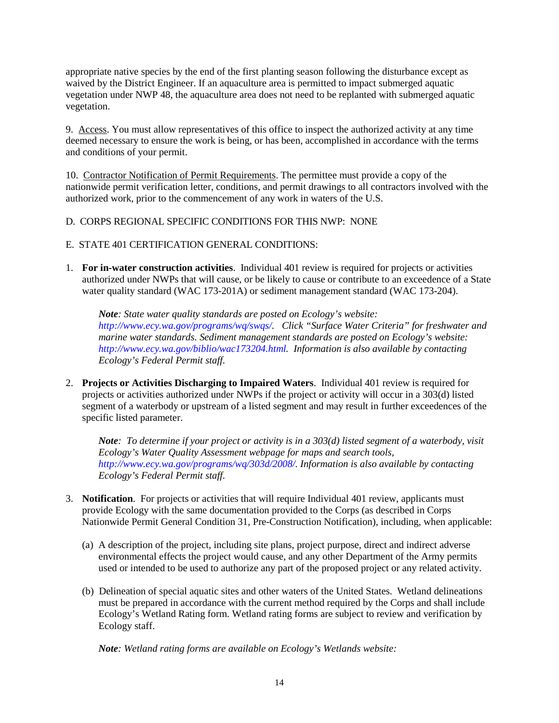appropriate native species by the end of the first planting season following the disturbance except as waived by the District Engineer. If an aquaculture area is permitted to impact submerged aquatic vegetation under NWP 48, the aquaculture area does not need to be replanted with submerged aquatic vegetation.

9. Access. You must allow representatives of this office to inspect the authorized activity at any time deemed necessary to ensure the work is being, or has been, accomplished in accordance with the terms and conditions of your permit.

10. Contractor Notification of Permit Requirements. The permittee must provide a copy of the nationwide permit verification letter, conditions, and permit drawings to all contractors involved with the authorized work, prior to the commencement of any work in waters of the U.S.

- D. CORPS REGIONAL SPECIFIC CONDITIONS FOR THIS NWP: NONE
- E. STATE 401 CERTIFICATION GENERAL CONDITIONS:
- 1. **For in-water construction activities**. Individual 401 review is required for projects or activities authorized under NWPs that will cause, or be likely to cause or contribute to an exceedence of a State water quality standard (WAC 173-201A) or sediment management standard (WAC 173-204).

*Note: State water quality standards are posted on Ecology's website: [http://www.ecy.wa.gov/programs/wq/swqs/.](http://www.ecy.wa.gov/programs/wq/swqs/) Click "Surface Water Criteria" for freshwater and marine water standards. Sediment management standards are posted on Ecology's website: [http://www.ecy.wa.gov/biblio/wac173204.html.](http://www.ecy.wa.gov/biblio/wac173204.html) Information is also available by contacting Ecology's Federal Permit staff.*

2. **Projects or Activities Discharging to Impaired Waters**. Individual 401 review is required for projects or activities authorized under NWPs if the project or activity will occur in a 303(d) listed segment of a waterbody or upstream of a listed segment and may result in further exceedences of the specific listed parameter.

*Note: To determine if your project or activity is in a 303(d) listed segment of a waterbody, visit Ecology's Water Quality Assessment webpage for maps and search tools, [http://www.ecy.wa.gov/programs/wq/303d/2008/.](http://www.ecy.wa.gov/programs/wq/303d/2008/) Information is also available by contacting Ecology's Federal Permit staff.* 

- 3. **Notification**. For projects or activities that will require Individual 401 review, applicants must provide Ecology with the same documentation provided to the Corps (as described in Corps Nationwide Permit General Condition 31, Pre-Construction Notification), including, when applicable:
	- (a) A description of the project, including site plans, project purpose, direct and indirect adverse environmental effects the project would cause, and any other Department of the Army permits used or intended to be used to authorize any part of the proposed project or any related activity.
	- (b) Delineation of special aquatic sites and other waters of the United States. Wetland delineations must be prepared in accordance with the current method required by the Corps and shall include Ecology's Wetland Rating form. Wetland rating forms are subject to review and verification by Ecology staff.

*Note: Wetland rating forms are available on Ecology's Wetlands website:*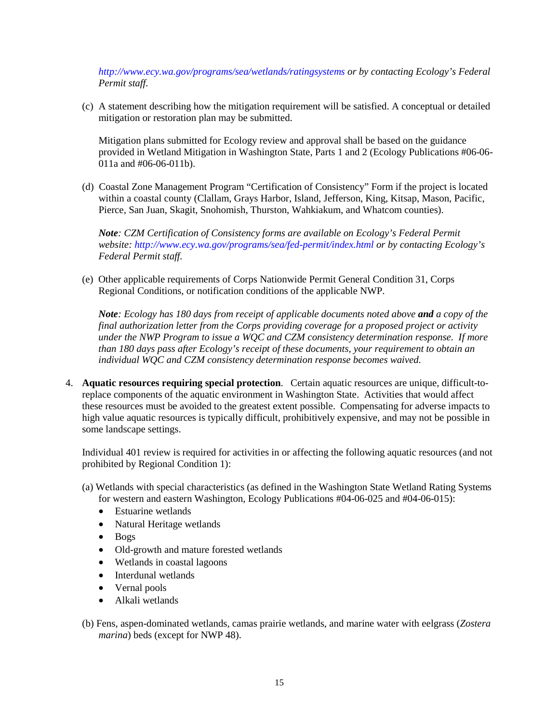*<http://www.ecy.wa.gov/programs/sea/wetlands/ratingsystems> or by contacting Ecology's Federal Permit staff.* 

(c) A statement describing how the mitigation requirement will be satisfied. A conceptual or detailed mitigation or restoration plan may be submitted.

Mitigation plans submitted for Ecology review and approval shall be based on the guidance provided in Wetland Mitigation in Washington State, Parts 1 and 2 (Ecology Publications #06-06- 011a and #06-06-011b).

(d) Coastal Zone Management Program "Certification of Consistency" Form if the project is located within a coastal county (Clallam, Grays Harbor, Island, Jefferson, King, Kitsap, Mason, Pacific, Pierce, San Juan, Skagit, Snohomish, Thurston, Wahkiakum, and Whatcom counties).

*Note: CZM Certification of Consistency forms are available on Ecology's Federal Permit website:<http://www.ecy.wa.gov/programs/sea/fed-permit/index.html> or by contacting Ecology's Federal Permit staff.* 

(e) Other applicable requirements of Corps Nationwide Permit General Condition 31, Corps Regional Conditions, or notification conditions of the applicable NWP.

*Note: Ecology has 180 days from receipt of applicable documents noted above and a copy of the final authorization letter from the Corps providing coverage for a proposed project or activity under the NWP Program to issue a WQC and CZM consistency determination response. If more than 180 days pass after Ecology's receipt of these documents, your requirement to obtain an individual WQC and CZM consistency determination response becomes waived.* 

4. **Aquatic resources requiring special protection**. Certain aquatic resources are unique, difficult-toreplace components of the aquatic environment in Washington State. Activities that would affect these resources must be avoided to the greatest extent possible. Compensating for adverse impacts to high value aquatic resources is typically difficult, prohibitively expensive, and may not be possible in some landscape settings.

Individual 401 review is required for activities in or affecting the following aquatic resources (and not prohibited by Regional Condition 1):

- (a) Wetlands with special characteristics (as defined in the Washington State Wetland Rating Systems for western and eastern Washington, Ecology Publications #04-06-025 and #04-06-015):
	- Estuarine wetlands
	- Natural Heritage wetlands
	- Bogs
	- Old-growth and mature forested wetlands
	- Wetlands in coastal lagoons
	- Interdunal wetlands
	- Vernal pools
	- Alkali wetlands
- (b) Fens, aspen-dominated wetlands, camas prairie wetlands, and marine water with eelgrass (*Zostera marina*) beds (except for NWP 48).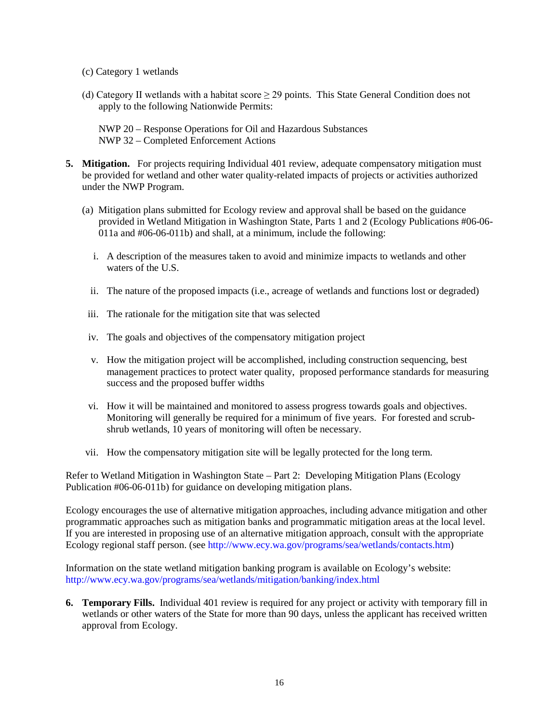- (c) Category 1 wetlands
- (d) Category II wetlands with a habitat score  $\geq$  29 points. This State General Condition does not apply to the following Nationwide Permits:

NWP 20 – Response Operations for Oil and Hazardous Substances NWP 32 – Completed Enforcement Actions

- **5. Mitigation.** For projects requiring Individual 401 review, adequate compensatory mitigation must be provided for wetland and other water quality-related impacts of projects or activities authorized under the NWP Program.
	- (a) Mitigation plans submitted for Ecology review and approval shall be based on the guidance provided in Wetland Mitigation in Washington State, Parts 1 and 2 (Ecology Publications #06-06- 011a and #06-06-011b) and shall, at a minimum, include the following:
		- i. A description of the measures taken to avoid and minimize impacts to wetlands and other waters of the U.S.
		- ii. The nature of the proposed impacts (i.e., acreage of wetlands and functions lost or degraded)
	- iii. The rationale for the mitigation site that was selected
	- iv. The goals and objectives of the compensatory mitigation project
	- v. How the mitigation project will be accomplished, including construction sequencing, best management practices to protect water quality, proposed performance standards for measuring success and the proposed buffer widths
	- vi. How it will be maintained and monitored to assess progress towards goals and objectives. Monitoring will generally be required for a minimum of five years. For forested and scrubshrub wetlands, 10 years of monitoring will often be necessary.
	- vii. How the compensatory mitigation site will be legally protected for the long term.

Refer to Wetland Mitigation in Washington State – Part 2: Developing Mitigation Plans (Ecology Publication #06-06-011b) for guidance on developing mitigation plans.

Ecology encourages the use of alternative mitigation approaches, including advance mitigation and other programmatic approaches such as mitigation banks and programmatic mitigation areas at the local level. If you are interested in proposing use of an alternative mitigation approach, consult with the appropriate Ecology regional staff person. (see [http://www.ecy.wa.gov/programs/sea/wetlands/contacts.htm\)](http://www.ecy.wa.gov/programs/sea/wetlands/contacts.htm)

Information on the state wetland mitigation banking program is available on Ecology's website: <http://www.ecy.wa.gov/programs/sea/wetlands/mitigation/banking/index.html>

**6. Temporary Fills.** Individual 401 review is required for any project or activity with temporary fill in wetlands or other waters of the State for more than 90 days, unless the applicant has received written approval from Ecology.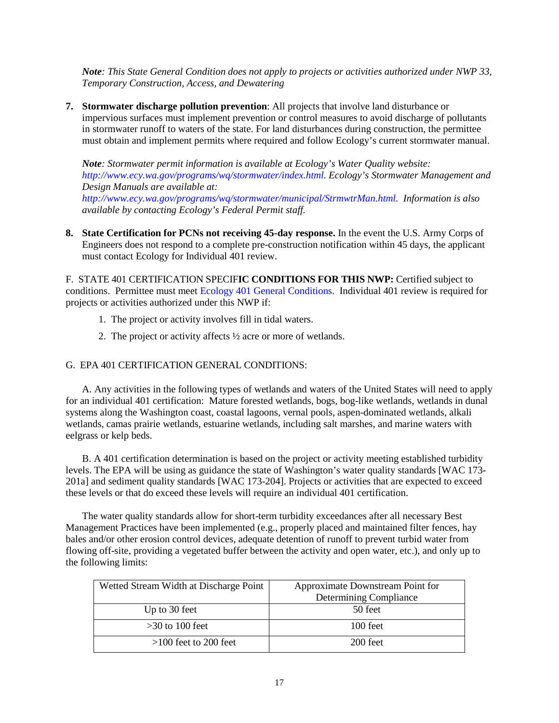*Note: This State General Condition does not apply to projects or activities authorized under NWP 33, Temporary Construction, Access, and Dewatering*

**7. Stormwater discharge pollution prevention**: All projects that involve land disturbance or impervious surfaces must implement prevention or control measures to avoid discharge of pollutants in stormwater runoff to waters of the state. For land disturbances during construction, the permittee must obtain and implement permits where required and follow Ecology's current stormwater manual.

*Note: Stormwater permit information is available at Ecology's Water Quality website: [http://www.ecy.wa.gov/programs/wq/stormwater/index.html.](http://www.ecy.wa.gov/programs/wq/stormwater/index.html) Ecology's Stormwater Management and Design Manuals are available at:* 

*[http://www.ecy.wa.gov/programs/wq/stormwater/municipal/StrmwtrMan.html.](http://www.ecy.wa.gov/programs/wq/stormwater/municipal/StrmwtrMan.html) Information is also available by contacting Ecology's Federal Permit staff.* 

**8. State Certification for PCNs not receiving 45-day response.** In the event the U.S. Army Corps of Engineers does not respond to a complete pre-construction notification within 45 days, the applicant must contact Ecology for Individual 401 review.

F. STATE 401 CERTIFICATION SPECIF**IC CONDITIONS FOR THIS NWP:** Certified subject to conditions. Permittee must meet Ecology 401 General Conditions. Individual 401 review is required for projects or activities authorized under this NWP if:

- 1. The project or activity involves fill in tidal waters.
- 2. The project or activity affects ½ acre or more of wetlands.

# G. EPA 401 CERTIFICATION GENERAL CONDITIONS:

A. Any activities in the following types of wetlands and waters of the United States will need to apply for an individual 401 certification: Mature forested wetlands, bogs, bog-like wetlands, wetlands in dunal systems along the Washington coast, coastal lagoons, vernal pools, aspen-dominated wetlands, alkali wetlands, camas prairie wetlands, estuarine wetlands, including salt marshes, and marine waters with eelgrass or kelp beds.

B. A 401 certification determination is based on the project or activity meeting established turbidity levels. The EPA will be using as guidance the state of Washington's water quality standards [WAC 173- 201a] and sediment quality standards [WAC 173-204]. Projects or activities that are expected to exceed these levels or that do exceed these levels will require an individual 401 certification.

The water quality standards allow for short-term turbidity exceedances after all necessary Best Management Practices have been implemented (e.g., properly placed and maintained filter fences, hay bales and/or other erosion control devices, adequate detention of runoff to prevent turbid water from flowing off-site, providing a vegetated buffer between the activity and open water, etc.), and only up to the following limits:

| Wetted Stream Width at Discharge Point | Approximate Downstream Point for |
|----------------------------------------|----------------------------------|
|                                        | Determining Compliance           |
| Up to 30 feet                          | 50 feet                          |
| $>30$ to 100 feet                      | $100$ feet                       |
| $>100$ feet to 200 feet                | $200$ feet                       |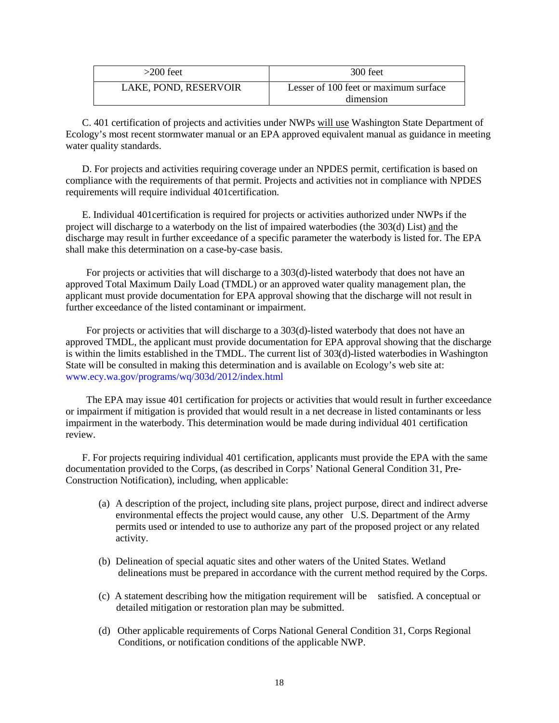| $>200$ feet           | $300$ feet                                         |
|-----------------------|----------------------------------------------------|
| LAKE, POND, RESERVOIR | Lesser of 100 feet or maximum surface<br>dimension |

C. 401 certification of projects and activities under NWPs will use Washington State Department of Ecology's most recent stormwater manual or an EPA approved equivalent manual as guidance in meeting water quality standards.

D. For projects and activities requiring coverage under an NPDES permit, certification is based on compliance with the requirements of that permit. Projects and activities not in compliance with NPDES requirements will require individual 401certification.

E. Individual 401certification is required for projects or activities authorized under NWPs if the project will discharge to a waterbody on the list of impaired waterbodies (the 303(d) List) and the discharge may result in further exceedance of a specific parameter the waterbody is listed for. The EPA shall make this determination on a case-by-case basis.

For projects or activities that will discharge to a 303(d)-listed waterbody that does not have an approved Total Maximum Daily Load (TMDL) or an approved water quality management plan, the applicant must provide documentation for EPA approval showing that the discharge will not result in further exceedance of the listed contaminant or impairment.

For projects or activities that will discharge to a 303(d)-listed waterbody that does not have an approved TMDL, the applicant must provide documentation for EPA approval showing that the discharge is within the limits established in the TMDL. The current list of 303(d)-listed waterbodies in Washington State will be consulted in making this determination and is available on Ecology's web site at: [www.ecy.wa.gov/programs/wq/303d/2012/index.html](http://www.ecy.wa.gov/programs/wq/303d/2012/index.html)

The EPA may issue 401 certification for projects or activities that would result in further exceedance or impairment if mitigation is provided that would result in a net decrease in listed contaminants or less impairment in the waterbody. This determination would be made during individual 401 certification review.

F. For projects requiring individual 401 certification, applicants must provide the EPA with the same documentation provided to the Corps, (as described in Corps' National General Condition 31, Pre-Construction Notification), including, when applicable:

- (a) A description of the project, including site plans, project purpose, direct and indirect adverse environmental effects the project would cause, any other U.S. Department of the Army permits used or intended to use to authorize any part of the proposed project or any related activity.
- (b) Delineation of special aquatic sites and other waters of the United States. Wetland delineations must be prepared in accordance with the current method required by the Corps.
- (c) A statement describing how the mitigation requirement will be satisfied. A conceptual or detailed mitigation or restoration plan may be submitted.
- (d) Other applicable requirements of Corps National General Condition 31, Corps Regional Conditions, or notification conditions of the applicable NWP.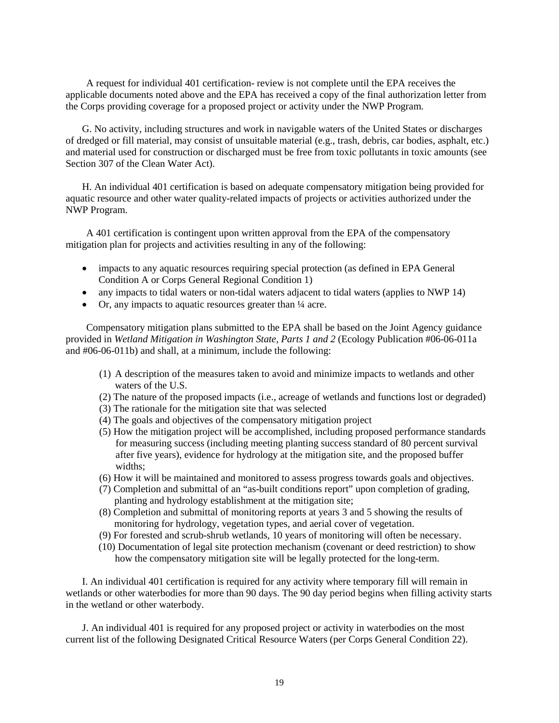A request for individual 401 certification- review is not complete until the EPA receives the applicable documents noted above and the EPA has received a copy of the final authorization letter from the Corps providing coverage for a proposed project or activity under the NWP Program.

G. No activity, including structures and work in navigable waters of the United States or discharges of dredged or fill material, may consist of unsuitable material (e.g., trash, debris, car bodies, asphalt, etc.) and material used for construction or discharged must be free from toxic pollutants in toxic amounts (see Section 307 of the Clean Water Act).

H. An individual 401 certification is based on adequate compensatory mitigation being provided for aquatic resource and other water quality-related impacts of projects or activities authorized under the NWP Program.

A 401 certification is contingent upon written approval from the EPA of the compensatory mitigation plan for projects and activities resulting in any of the following:

- impacts to any aquatic resources requiring special protection (as defined in EPA General Condition A or Corps General Regional Condition 1)
- any impacts to tidal waters or non-tidal waters adjacent to tidal waters (applies to NWP 14)
- Or, any impacts to aquatic resources greater than  $\frac{1}{4}$  acre.

Compensatory mitigation plans submitted to the EPA shall be based on the Joint Agency guidance provided in *Wetland Mitigation in Washington State, Parts 1 and 2* (Ecology Publication #06-06-011a and #06-06-011b) and shall, at a minimum, include the following:

- (1) A description of the measures taken to avoid and minimize impacts to wetlands and other waters of the U.S.
- (2) The nature of the proposed impacts (i.e., acreage of wetlands and functions lost or degraded)
- (3) The rationale for the mitigation site that was selected
- (4) The goals and objectives of the compensatory mitigation project
- (5) How the mitigation project will be accomplished, including proposed performance standards for measuring success (including meeting planting success standard of 80 percent survival after five years), evidence for hydrology at the mitigation site, and the proposed buffer widths;
- (6) How it will be maintained and monitored to assess progress towards goals and objectives.
- (7) Completion and submittal of an "as-built conditions report" upon completion of grading, planting and hydrology establishment at the mitigation site;
- (8) Completion and submittal of monitoring reports at years 3 and 5 showing the results of monitoring for hydrology, vegetation types, and aerial cover of vegetation.
- (9) For forested and scrub-shrub wetlands, 10 years of monitoring will often be necessary.
- (10) Documentation of legal site protection mechanism (covenant or deed restriction) to show how the compensatory mitigation site will be legally protected for the long-term.

I. An individual 401 certification is required for any activity where temporary fill will remain in wetlands or other waterbodies for more than 90 days. The 90 day period begins when filling activity starts in the wetland or other waterbody.

J. An individual 401 is required for any proposed project or activity in waterbodies on the most current list of the following Designated Critical Resource Waters (per Corps General Condition 22).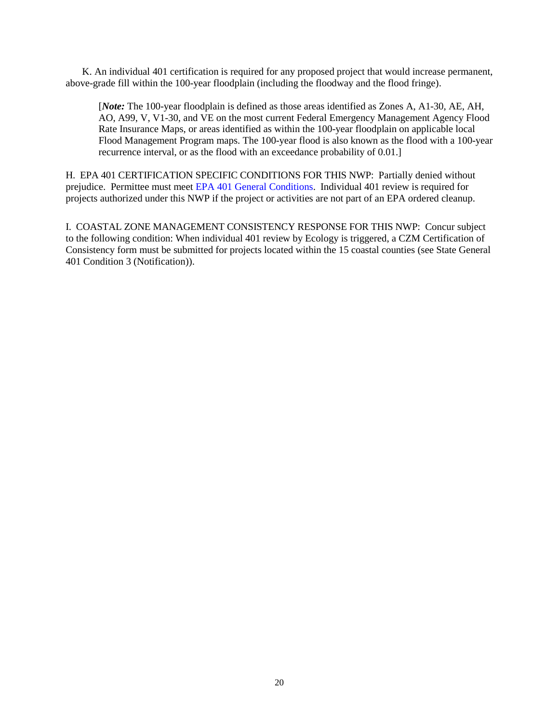K. An individual 401 certification is required for any proposed project that would increase permanent, above-grade fill within the 100-year floodplain (including the floodway and the flood fringe).

[*Note:* The 100-year floodplain is defined as those areas identified as Zones A, A1-30, AE, AH, AO, A99, V, V1-30, and VE on the most current Federal Emergency Management Agency Flood Rate Insurance Maps, or areas identified as within the 100-year floodplain on applicable local Flood Management Program maps. The 100-year flood is also known as the flood with a 100-year recurrence interval, or as the flood with an exceedance probability of 0.01.]

H. EPA 401 CERTIFICATION SPECIFIC CONDITIONS FOR THIS NWP: Partially denied without prejudice. Permittee must meet EPA 401 General Conditions. Individual 401 review is required for projects authorized under this NWP if the project or activities are not part of an EPA ordered cleanup.

I. COASTAL ZONE MANAGEMENT CONSISTENCY RESPONSE FOR THIS NWP:Concur subject to the following condition: When individual 401 review by Ecology is triggered, a CZM Certification of Consistency form must be submitted for projects located within the 15 coastal counties (see State General 401 Condition 3 (Notification)).